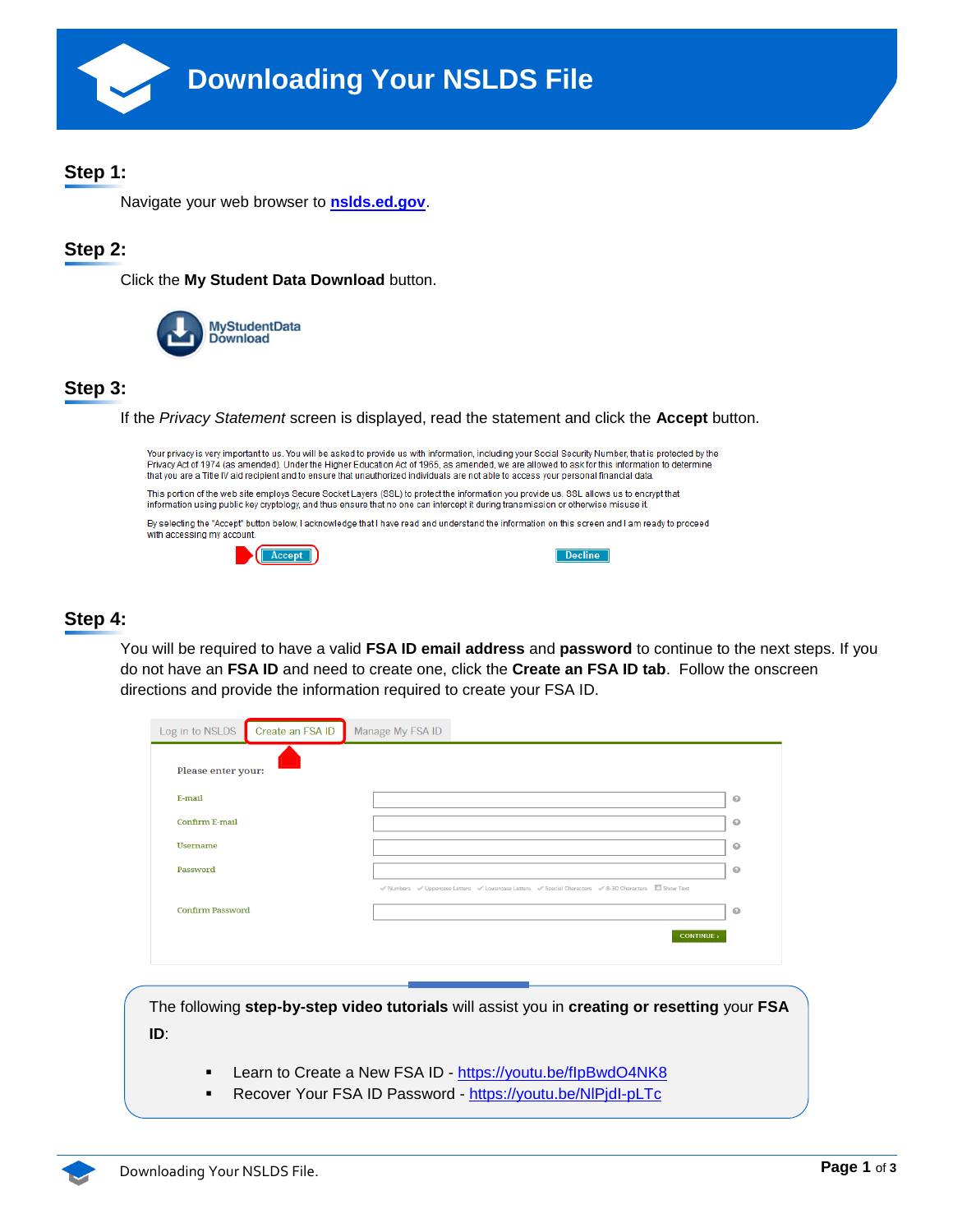

## **Step 1:**

Navigate your web browser to **[nslds.ed.gov](http://nslds.ed.gov/)**.

# **Step 2:**

Click the **My Student Data Download** button.



# **Step 3:**

If the *Privacy Statement* screen is displayed, read the statement and click the **Accept** button.

Your privacy is very important to us. You will be asked to provide us with information, including your Social Security Number, that is protected by the Privacy Act of 1974 (as amended). Under the Higher Education Act of 1965, as amended, we are allowed to ask for this information to determine that you are a Title IV aid recipient and to ensure that unauthorized individuals are not able to access your personal financial data. This portion of the web site employs Secure Socket Layers (SSL) to protect the information you provide us. SSL allows us to encrypt that information using public key cryptology, and thus ensure that no one can intercept it during transmission or otherwise misuse it.

By selecting the "Accept" button below. I acknowledge that I have read and understand the information on this screen and I am ready to proceed with accessing my account



# **Step 4:**

You will be required to have a valid **FSA ID email address** and **password** to continue to the next steps. If you do not have an **FSA ID** and need to create one, click the **Create an FSA ID tab**. Follow the onscreen directions and provide the information required to create your FSA ID.

**Decline** 

|                         | Log in to NSLDS Create an FSA ID | Manage My FSA ID                                                                                                                                                                                                                                            |           |
|-------------------------|----------------------------------|-------------------------------------------------------------------------------------------------------------------------------------------------------------------------------------------------------------------------------------------------------------|-----------|
| Please enter your:      |                                  |                                                                                                                                                                                                                                                             |           |
| E-mail                  |                                  |                                                                                                                                                                                                                                                             | $\bullet$ |
| Confirm E-mail          |                                  |                                                                                                                                                                                                                                                             | $\bullet$ |
| <b>Username</b>         |                                  |                                                                                                                                                                                                                                                             | $\bullet$ |
| Password                |                                  |                                                                                                                                                                                                                                                             | $\bullet$ |
|                         |                                  | $\swarrow \text{ Numbers} \quad \swarrow \text{Uppercase Letters} \quad \swarrow \text{Lowercase Letters} \quad \swarrow \text{Special Characteristics} \quad \swarrow 8\text{-}30 \text{ Characteristics} \quad \text{un follows for the following text.}$ |           |
| <b>Confirm Password</b> |                                  |                                                                                                                                                                                                                                                             | $\bullet$ |
|                         |                                  | <b>CONTINUE</b>                                                                                                                                                                                                                                             |           |
|                         |                                  |                                                                                                                                                                                                                                                             |           |
|                         |                                  |                                                                                                                                                                                                                                                             |           |

The following **step-by-step video tutorials** will assist you in **creating or resetting** your **FSA ID**:

- Learn to Create a New FSA ID https://youtu.be/flpBwdO4NK8
- Recover Your FSA ID Password https://youtu.be/NIPjdI-pLTc

 $\mathbb{R}$  is the cover  $\mathbb{R}$  in the cover  $\mathbb{R}$  in the cover  $\mathbb{R}$  is the cover  $\mathbb{R}$ 

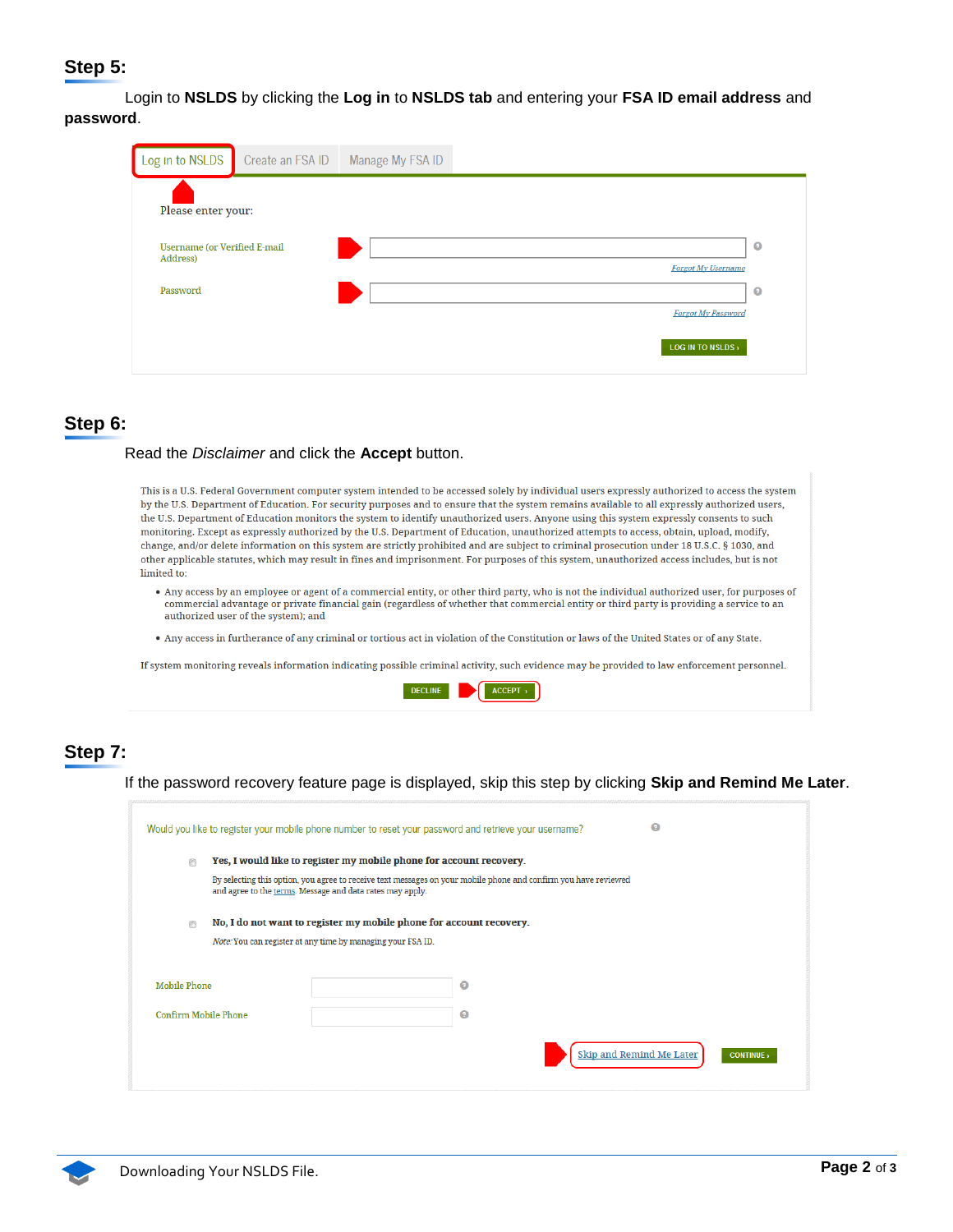## **Step 5:**

 Login to **NSLDS** by clicking the **Log in** to **NSLDS tab** and entering your **FSA ID email address** and **password**.

| Log in to NSLDS                                 |  | Create an FSA ID Manage My FSA ID |                                        |  |  |  |  |
|-------------------------------------------------|--|-----------------------------------|----------------------------------------|--|--|--|--|
| Please enter your:                              |  |                                   |                                        |  |  |  |  |
| <b>Username (or Verified E-mail</b><br>Address) |  |                                   | $\bullet$<br><b>Forgot My Username</b> |  |  |  |  |
| Password                                        |  |                                   | $\bullet$                              |  |  |  |  |
|                                                 |  |                                   | <b>Forgot My Password</b>              |  |  |  |  |
|                                                 |  |                                   | <b>LOG IN TO NSLDS</b>                 |  |  |  |  |

#### **Step 6:**

#### Read the *Disclaimer* and click the **Accept** button.

This is a U.S. Federal Government computer system intended to be accessed solely by individual users expressly authorized to access the system by the U.S. Department of Education. For security purposes and to ensure that the system remains available to all expressly authorized users, the U.S. Department of Education monitors the system to identify unauthorized users. Anyone using this system expressly consents to such monitoring. Except as expressly authorized by the U.S. Department of Education, unauthorized attempts to access, obtain, upload, modify, change, and/or delete information on this system are strictly prohibited and are subject to criminal prosecution under 18 U.S.C. § 1030, and other applicable statutes, which may result in fines and imprisonment. For purposes of this system, unauthorized access includes, but is not limited to:

- . Any access by an employee or agent of a commercial entity, or other third party, who is not the individual authorized user, for purposes of commercial advantage or private financial gain (regardless of whether that commercial entity or third party is providing a service to an authorized user of the system); and
- . Any access in furtherance of any criminal or tortious act in violation of the Constitution or laws of the United States or of any State.

If system monitoring reveals information indicating possible criminal activity, such evidence may be provided to law enforcement personnel.



# **Step 7:**

If the password recovery feature page is displayed, skip this step by clicking **Skip and Remind Me Later**.

|                     | Would you like to register your mobile phone number to reset your password and retrieve your username?                                                                       | $\boldsymbol{\Theta}$                         |  |  |  |
|---------------------|------------------------------------------------------------------------------------------------------------------------------------------------------------------------------|-----------------------------------------------|--|--|--|
| ⋒                   | Yes, I would like to register my mobile phone for account recovery.                                                                                                          |                                               |  |  |  |
|                     | By selecting this option, you agree to receive text messages on your mobile phone and confirm you have reviewed<br>and agree to the terms. Message and data rates may apply. |                                               |  |  |  |
| ⋒                   | No, I do not want to register my mobile phone for account recovery.                                                                                                          |                                               |  |  |  |
|                     | Note: You can register at any time by managing your FSA ID.                                                                                                                  |                                               |  |  |  |
| <b>Mobile Phone</b> |                                                                                                                                                                              | $\bullet$                                     |  |  |  |
|                     |                                                                                                                                                                              |                                               |  |  |  |
|                     | Confirm Mobile Phone                                                                                                                                                         | 0                                             |  |  |  |
|                     |                                                                                                                                                                              | Skip and Remind Me Later<br><b>CONTINUE</b> > |  |  |  |